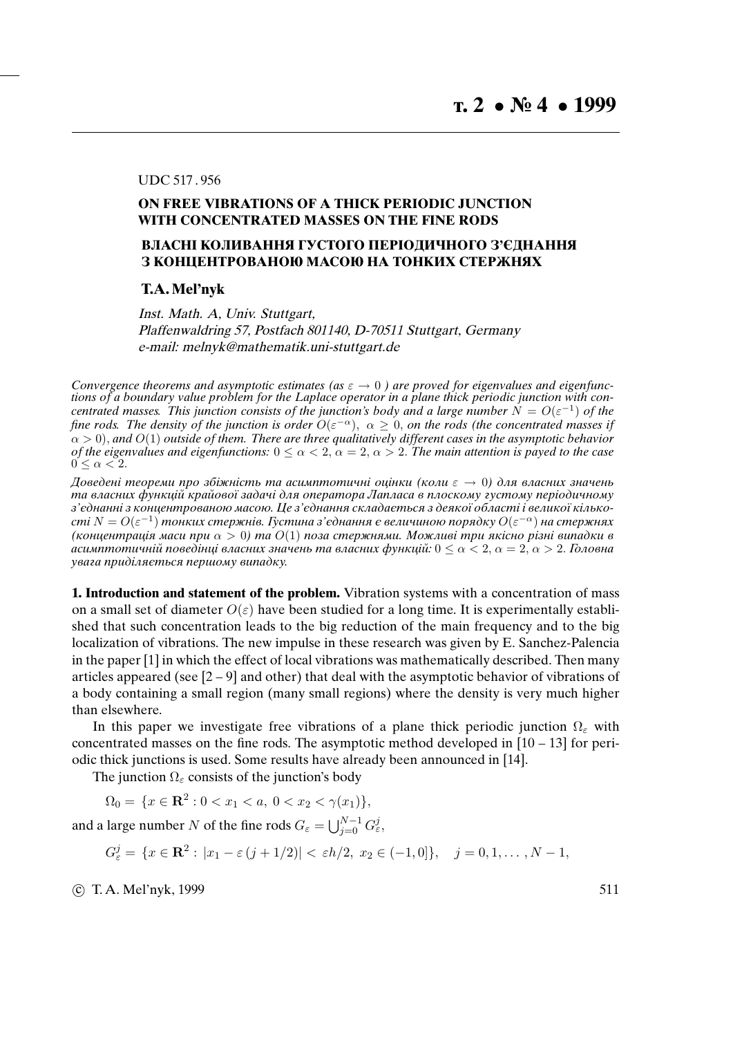## UDC 517 . 956

## **ON FREE VIBRATIONS OF A THICK PERIODIC JUNCTION WITH CONCENTRATED MASSES ON THE FINE RODS**

## **ВЛАСНI КОЛИВАННЯ ГУСТОГО ПЕРIОДИЧНОГО З'ЄДНАННЯ З КОНЦЕНТРОВАНОЮ МАСОЮ НА ТОНКИХ СТЕРЖНЯХ**

## **T.A. Mel'nyk**

Inst. Math. A, Univ. Stuttgart, Plaffenwaldring 57, Postfach 801140, D-70511 Stuttgart, Germany e-mail: melnyk@mathematik.uni-stuttgart.de

*Convergence theorems and asymptotic estimates (as*  $\varepsilon \to 0$ ) are proved for eigenvalues and eigenfunc*tions of a boundary value problem for the Laplace operator in a plane thick periodic junction with concentrated masses.* This junction consists of the junction's body and a large number  $N = O(\varepsilon^{-1})$  of the fine rods. The density of the junction is order  $O(\varepsilon^{-\alpha})$ ,  $\alpha \geq 0$ , on the rods (the concentrated masses if α > 0), *and* O(1) *outside of them. There are three qualitatively different cases in the asymptotic behavior of the eigenvalues and eigenfunctions:*  $0 \le \alpha \le 2$ ,  $\alpha = 2$ ,  $\alpha > 2$ . The main attention is payed to the case  $0 \leq \alpha < 2$ .

Доведенi теореми про збiжнiсть та асимптотичнi оцiнки (коли  $\varepsilon \to 0$ ) для власних значень та власних функцiй крайової задачi для оператора Лапласа в плоскому густому перiодичному з'єднаннi з концентрованою масою. Це з'єднання складається з деякої областi i великої кiлькості  $N=O(\varepsilon^{-1})$  тонких стержнів. Густина з'єднання є величиною порядку  $O(\varepsilon^{-\alpha})$  на стержнях (концентрація маси при  $\alpha > 0$ ) та  $O(1)$  поза стержнями. Можливі три якісно різні випадки в асимптотичній поведінці власних значень та власних функцій:  $0 \le \alpha \le 2, \alpha = 2, \alpha > 2$ . Головна увага придiляється першому випадку.

**1. Introduction and statement of the problem.** Vibration systems with a concentration of mass on a small set of diameter  $O(\varepsilon)$  have been studied for a long time. It is experimentally established that such concentration leads to the big reduction of the main frequency and to the big localization of vibrations. The new impulse in these research was given by E. Sanchez-Palencia in the paper [1] in which the effect of local vibrations was mathematically described. Then many articles appeared (see  $[2 - 9]$  and other) that deal with the asymptotic behavior of vibrations of a body containing a small region (many small regions) where the density is very much higher than elsewhere.

In this paper we investigate free vibrations of a plane thick periodic junction  $\Omega_{\epsilon}$  with concentrated masses on the fine rods. The asymptotic method developed in  $[10 - 13]$  for periodic thick junctions is used. Some results have already been announced in [14].

The junction  $\Omega_{\varepsilon}$  consists of the junction's body

 $\Omega_0 = \{x \in \mathbb{R}^2 : 0 < x_1 < a, \ 0 < x_2 < \gamma(x_1)\},\$ 

and a large number N of the fine rods  $G_{\varepsilon} = \bigcup_{j=0}^{N-1} G_{\varepsilon}^j$ 

 $G_{\varepsilon}^{j} = \{x \in \mathbb{R}^{2}: |x_{1} - \varepsilon(j + 1/2)| < \varepsilon h/2, x_{2} \in (-1, 0]\}, \quad j = 0, 1, \ldots, N - 1,$ 

(c) T. A. Mel'nyk, 1999  $511$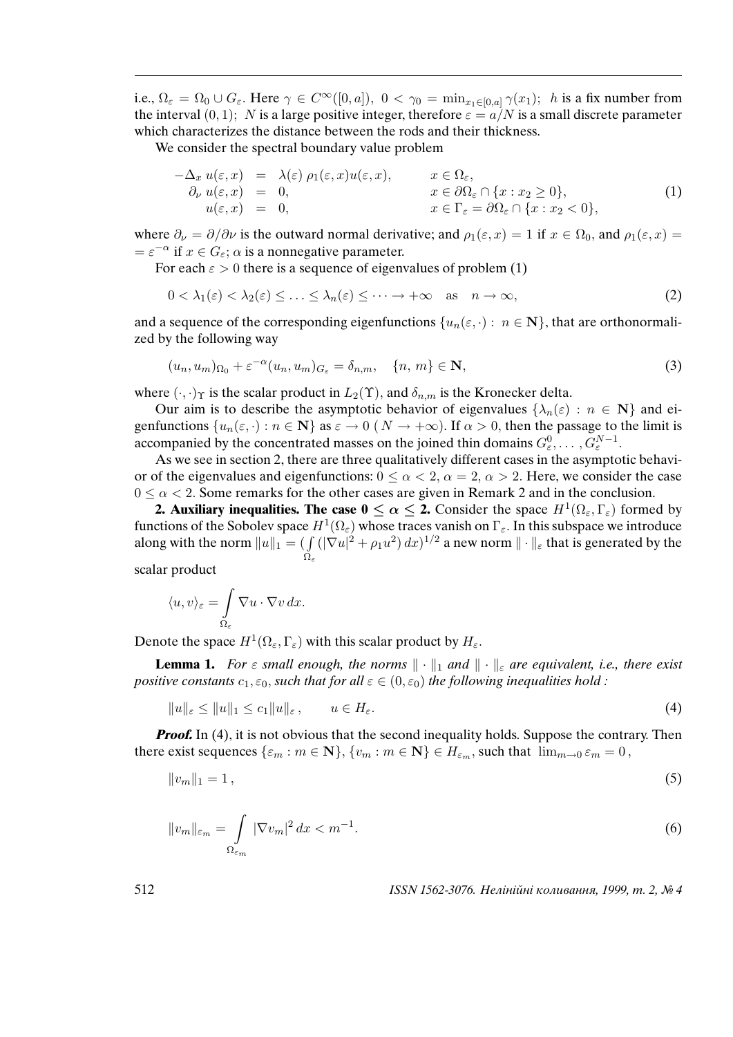i.e.,  $\Omega_{\varepsilon} = \Omega_0 \cup G_{\varepsilon}$ . Here  $\gamma \in C^{\infty}([0,a])$ ,  $0 < \gamma_0 = \min_{x_1 \in [0,a]} \gamma(x_1)$ ; h is a fix number from the interval  $(0, 1)$ ; N is a large positive integer, therefore  $\varepsilon = a/N$  is a small discrete parameter which characterizes the distance between the rods and their thickness.

We consider the spectral boundary value problem

$$
-\Delta_x u(\varepsilon, x) = \lambda(\varepsilon) \rho_1(\varepsilon, x) u(\varepsilon, x), \qquad x \in \Omega_{\varepsilon},
$$
  
\n
$$
\partial_\nu u(\varepsilon, x) = 0, \qquad x \in \partial\Omega_{\varepsilon} \cap \{x : x_2 \ge 0\},
$$
  
\n
$$
u(\varepsilon, x) = 0, \qquad x \in \Gamma_{\varepsilon} = \partial\Omega_{\varepsilon} \cap \{x : x_2 < 0\},
$$
\n(1)

where  $\partial_{\nu} = \partial/\partial \nu$  is the outward normal derivative; and  $\rho_1(\varepsilon, x) = 1$  if  $x \in \Omega_0$ , and  $\rho_1(\varepsilon, x) =$  $=\varepsilon^{-\alpha}$  if  $x \in G_{\varepsilon}$ ;  $\alpha$  is a nonnegative parameter.

For each  $\epsilon > 0$  there is a sequence of eigenvalues of problem (1)

$$
0 < \lambda_1(\varepsilon) < \lambda_2(\varepsilon) \leq \ldots \leq \lambda_n(\varepsilon) \leq \cdots \to +\infty \quad \text{as} \quad n \to \infty,\tag{2}
$$

and a sequence of the corresponding eigenfunctions  $\{u_n(\varepsilon, \cdot): n \in \mathbb{N}\}\)$ , that are orthonormalized by the following way

$$
(u_n, u_m)_{\Omega_0} + \varepsilon^{-\alpha} (u_n, u_m)_{G_{\varepsilon}} = \delta_{n,m}, \quad \{n, m\} \in \mathbf{N},
$$
\n(3)

where  $(\cdot, \cdot)$ <sub>T</sub> is the scalar product in  $L_2(\Upsilon)$ , and  $\delta_{n,m}$  is the Kronecker delta.

Our aim is to describe the asymptotic behavior of eigenvalues  $\{\lambda_n(\varepsilon) : n \in \mathbb{N}\}\$  and eigenfunctions  $\{u_n(\varepsilon, \cdot) : n \in \mathbb{N}\}\$ as  $\varepsilon \to 0$  ( $N \to +\infty$ ). If  $\alpha > 0$ , then the passage to the limit is accompanied by the concentrated masses on the joined thin domains  $G_{\varepsilon}^0, \ldots, G_{\varepsilon}^{N-1}$ .

As we see in section 2, there are three qualitatively different cases in the asymptotic behavior of the eigenvalues and eigenfunctions:  $0 \le \alpha < 2$ ,  $\alpha = 2$ ,  $\alpha > 2$ . Here, we consider the case  $0 \le \alpha < 2$ . Some remarks for the other cases are given in Remark 2 and in the conclusion.

**2. Auxiliary inequalities. The case**  $0 \le \alpha \le 2$ **.** Consider the space  $H^1(\Omega_\varepsilon, \Gamma_\varepsilon)$  formed by functions of the Sobolev space  $H^1(\Omega_\varepsilon)$  whose traces vanish on  $\Gamma_\varepsilon$ . In this subspace we introduce along with the norm  $||u||_1 = ($   $\int$  $Ω_ε$  $(|\nabla u|^2 + \rho_1 u^2) dx$ <sup>1/2</sup> a new norm  $\|\cdot\|_{\varepsilon}$  that is generated by the

scalar product

$$
\langle u, v \rangle_{\varepsilon} = \int\limits_{\Omega_{\varepsilon}} \nabla u \cdot \nabla v \, dx.
$$

Denote the space  $H^1(\Omega_\varepsilon, \Gamma_\varepsilon)$  with this scalar product by  $H_\varepsilon$ .

**Lemma 1.** For  $\varepsilon$  small enough, the norms  $\|\cdot\|_1$  and  $\|\cdot\|_{\varepsilon}$  are equivalent, i.e., there exist positive constants  $c_1, \varepsilon_0$ , such that for all  $\varepsilon \in (0, \varepsilon_0)$  the following inequalities hold :

$$
||u||_{\varepsilon} \le ||u||_1 \le c_1 ||u||_{\varepsilon}, \qquad u \in H_{\varepsilon}.
$$
\n
$$
(4)
$$

*Proof.* In (4), it is not obvious that the second inequality holds. Suppose the contrary. Then there exist sequences  $\{\varepsilon_m : m \in \mathbb{N}\}, \{v_m : m \in \mathbb{N}\}\in H_{\varepsilon_m}$ , such that  $\lim_{m\to 0} \varepsilon_m = 0$ ,

$$
||v_m||_1 = 1, \t\t(5)
$$

$$
||v_m||_{\varepsilon_m} = \int\limits_{\Omega_{\varepsilon_m}} |\nabla v_m|^2 \, dx < m^{-1}.\tag{6}
$$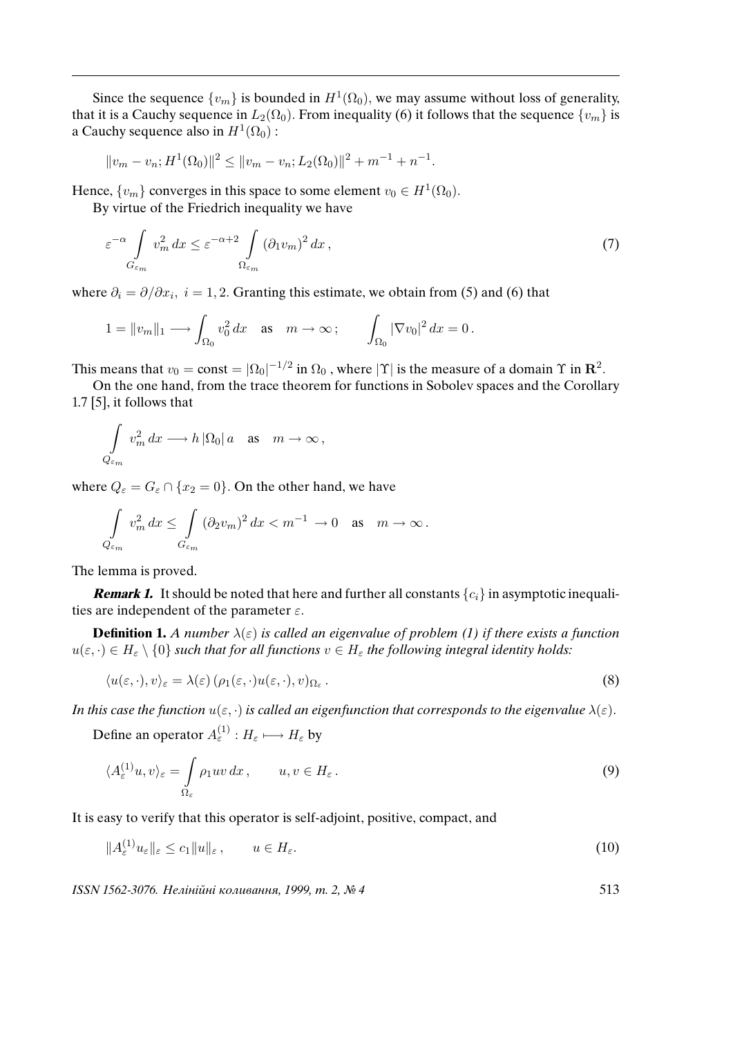Since the sequence  $\{v_m\}$  is bounded in  $H^1(\Omega_0)$ , we may assume without loss of generality, that it is a Cauchy sequence in  $L_2(\Omega_0)$ . From inequality (6) it follows that the sequence  $\{v_m\}$  is a Cauchy sequence also in  $H^1(\Omega_0)$ :

$$
||v_m - v_n; H^1(\Omega_0)||^2 \le ||v_m - v_n; L_2(\Omega_0)||^2 + m^{-1} + n^{-1}.
$$

Hence,  $\{v_m\}$  converges in this space to some element  $v_0 \in H^1(\Omega_0)$ .

By virtue of the Friedrich inequality we have

$$
\varepsilon^{-\alpha} \int\limits_{G_{\varepsilon_m}} v_m^2 \, dx \le \varepsilon^{-\alpha+2} \int\limits_{\Omega_{\varepsilon_m}} (\partial_1 v_m)^2 \, dx \,, \tag{7}
$$

where  $\partial_i = \partial/\partial x_i$ ,  $i = 1, 2$ . Granting this estimate, we obtain from (5) and (6) that

$$
1 = \|v_m\|_1 \longrightarrow \int_{\Omega_0} v_0^2 dx \quad \text{as} \quad m \to \infty \, ; \qquad \int_{\Omega_0} |\nabla v_0|^2 dx = 0 \, .
$$

This means that  $v_0 = \text{const} = |\Omega_0|^{-1/2}$  in  $\Omega_0$  , where  $|\Upsilon|$  is the measure of a domain  $\Upsilon$  in  $\mathbb{R}^2$ .

On the one hand, from the trace theorem for functions in Sobolev spaces and the Corollary 1.7 [5], it follows that

$$
\int\limits_{Q_{\varepsilon_m}} v_m^2 dx \longrightarrow h |\Omega_0| a \quad \text{as} \quad m \to \infty,
$$

where  $Q_{\varepsilon} = G_{\varepsilon} \cap \{x_2 = 0\}$ . On the other hand, we have

$$
\int\limits_{Q_{\varepsilon_m}} v_m^2\,dx \leq \int\limits_{G_{\varepsilon_m}} (\partial_2 v_m)^2\,dx < m^{-1} \to 0 \quad \text{as} \quad m \to \infty\,.
$$

The lemma is proved.

**Remark 1.** It should be noted that here and further all constants  $\{c_i\}$  in asymptotic inequalities are independent of the parameter  $\varepsilon$ .

**Definition 1.** A number  $\lambda(\varepsilon)$  is called an eigenvalue of problem (1) if there exists a function  $u(\varepsilon, \cdot) \in H_{\varepsilon} \setminus \{0\}$  such that for all functions  $v \in H_{\varepsilon}$  the following integral identity holds:

$$
\langle u(\varepsilon,\cdot),v\rangle_{\varepsilon} = \lambda(\varepsilon) \left(\rho_1(\varepsilon,\cdot)u(\varepsilon,\cdot),v\right)_{\Omega_{\varepsilon}}.
$$
\n(8)

In this case the function  $u(\varepsilon, \cdot)$  is called an eigenfunction that corresponds to the eigenvalue  $\lambda(\varepsilon)$ .

Define an operator  $A_{\varepsilon}^{(1)} : H_{\varepsilon} \longmapsto H_{\varepsilon}$  by

$$
\langle A_{\varepsilon}^{(1)} u, v \rangle_{\varepsilon} = \int_{\Omega_{\varepsilon}} \rho_1 u v \, dx \,, \qquad u, v \in H_{\varepsilon} \,.
$$

It is easy to verify that this operator is self-adjoint, positive, compact, and

$$
||A_{\varepsilon}^{(1)}u_{\varepsilon}||_{\varepsilon} \leq c_1 ||u||_{\varepsilon}, \qquad u \in H_{\varepsilon}.
$$
\n
$$
(10)
$$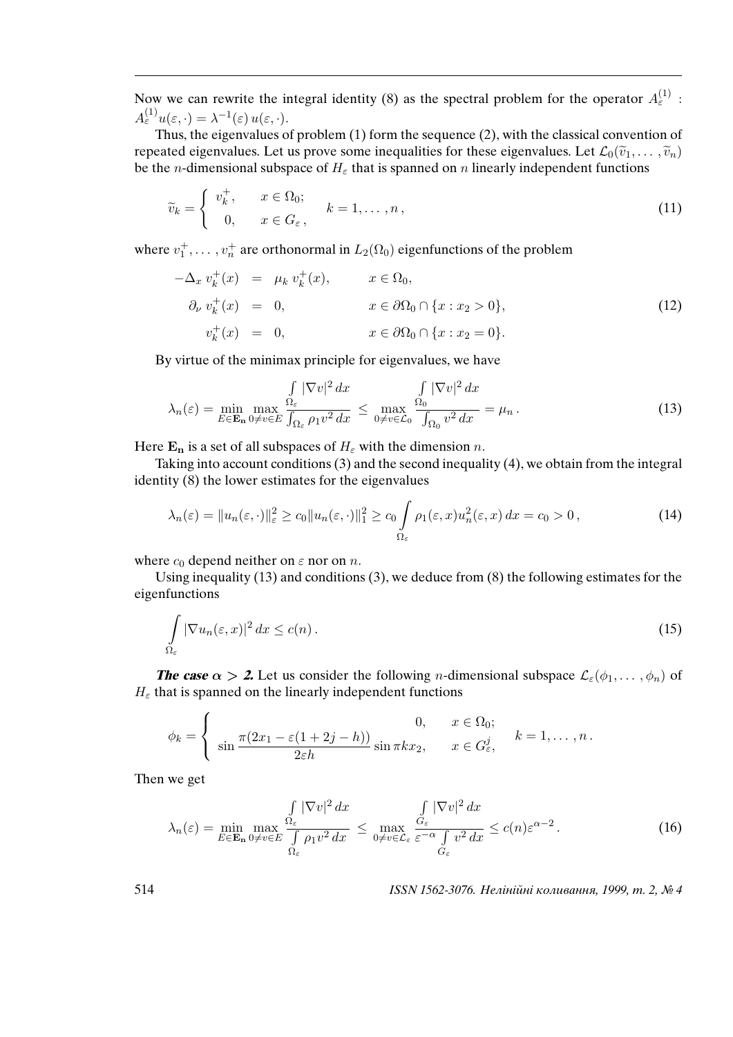Now we can rewrite the integral identity (8) as the spectral problem for the operator  $A_{\varepsilon}^{(1)}$ :  $A_{\varepsilon}^{(1)}u(\varepsilon,\cdot)=\lambda^{-1}(\varepsilon)u(\varepsilon,\cdot).$ 

Thus, the eigenvalues of problem (1) form the sequence (2), with the classical convention of repeated eigenvalues. Let us prove some inequalities for these eigenvalues. Let  $\mathcal{L}_0(\tilde{v}_1, \ldots, \tilde{v}_n)$ be the *n*-dimensional subspace of  $H_{\varepsilon}$  that is spanned on *n* linearly independent functions

$$
\widetilde{v}_k = \begin{cases} v_k^+, & x \in \Omega_0; \\ 0, & x \in G_\varepsilon, \end{cases} \quad k = 1, \dots, n, \tag{11}
$$

where  $v_1^+$ ,...,  $v_n^+$  are orthonormal in  $L_2(\Omega_0)$  eigenfunctions of the problem

$$
-\Delta_x v_k^+(x) = \mu_k v_k^+(x), \qquad x \in \Omega_0,
$$
  
\n
$$
\partial_\nu v_k^+(x) = 0, \qquad x \in \partial\Omega_0 \cap \{x : x_2 > 0\},
$$
  
\n
$$
v_k^+(x) = 0, \qquad x \in \partial\Omega_0 \cap \{x : x_2 = 0\}.
$$
\n(12)

By virtue of the minimax principle for eigenvalues, we have

$$
\lambda_n(\varepsilon) = \min_{E \in \mathbf{E_n}} \max_{0 \neq v \in E} \frac{\int_{\Omega_{\varepsilon}} |\nabla v|^2 dx}{\int_{\Omega_{\varepsilon}} \rho_1 v^2 dx} \leq \max_{0 \neq v \in \mathcal{L}_0} \frac{\int_{\Omega} |\nabla v|^2 dx}{\int_{\Omega_0} v^2 dx} = \mu_n.
$$
\n(13)

Here  $\mathbf{E}_n$  is a set of all subspaces of  $H_\varepsilon$  with the dimension n.

Taking into account conditions (3) and the second inequality (4), we obtain from the integral identity (8) the lower estimates for the eigenvalues

$$
\lambda_n(\varepsilon) = \|u_n(\varepsilon, \cdot)\|_{\varepsilon}^2 \ge c_0 \|u_n(\varepsilon, \cdot)\|_1^2 \ge c_0 \int_{\Omega_{\varepsilon}} \rho_1(\varepsilon, x) u_n^2(\varepsilon, x) dx = c_0 > 0,
$$
\n(14)

where  $c_0$  depend neither on  $\varepsilon$  nor on n.

Using inequality (13) and conditions (3), we deduce from (8) the following estimates for the eigenfunctions

$$
\int_{\Omega_{\varepsilon}} |\nabla u_n(\varepsilon, x)|^2 dx \le c(n). \tag{15}
$$

**The case**  $\alpha > 2$ . Let us consider the following *n*-dimensional subspace  $\mathcal{L}_{\varepsilon}(\phi_1, \dots, \phi_n)$  of  $H_{\varepsilon}$  that is spanned on the linearly independent functions

$$
\phi_k = \begin{cases} 0, & x \in \Omega_0; \\ \sin \frac{\pi (2x_1 - \varepsilon (1 + 2j - h))}{2\varepsilon h} \sin \pi k x_2, & x \in G_\varepsilon^j, \end{cases} k = 1, \dots, n.
$$

Then we get

$$
\lambda_n(\varepsilon) = \min_{E \in \mathbf{E_n}} \max_{0 \neq v \in E} \frac{\int_{\varepsilon} |\nabla v|^2 dx}{\int_{\Omega_{\varepsilon}} \rho_1 v^2 dx} \leq \max_{0 \neq v \in \mathcal{L}_{\varepsilon}} \frac{\int_{G_{\varepsilon}} |\nabla v|^2 dx}{\varepsilon^{-\alpha} \int_{G_{\varepsilon}} v^2 dx} \leq c(n) \varepsilon^{\alpha - 2}.
$$
 (16)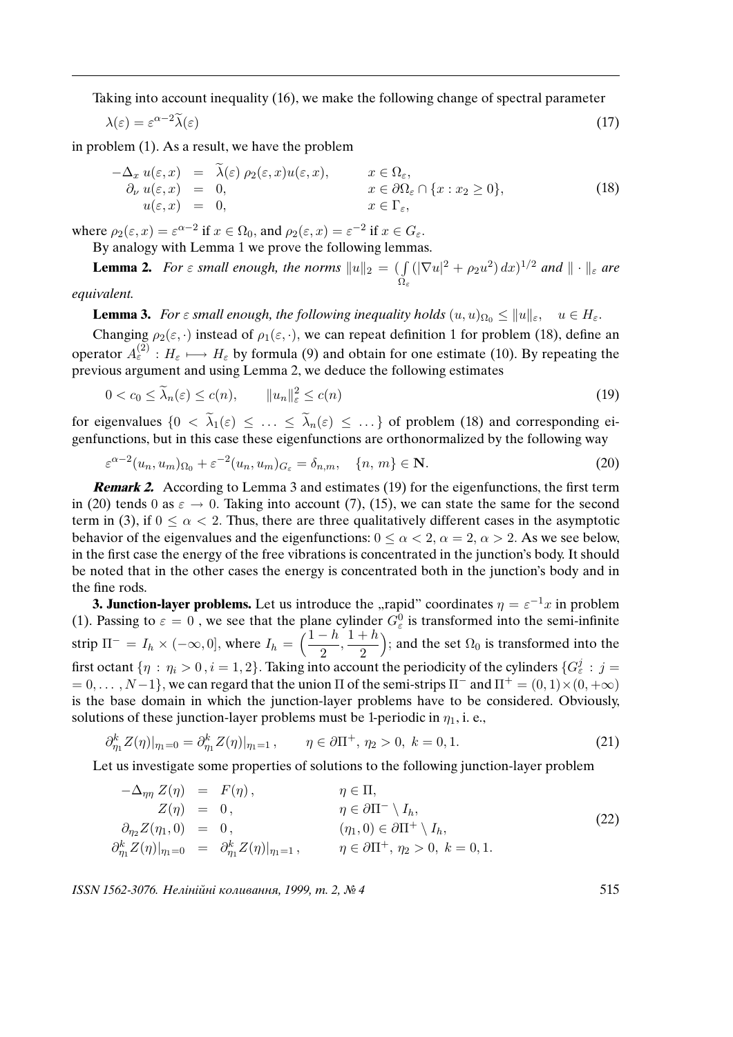Taking into account inequality (16), we make the following change of spectral parameter

$$
\lambda(\varepsilon) = \varepsilon^{\alpha - 2} \widetilde{\lambda}(\varepsilon) \tag{17}
$$

in problem (1). As a result, we have the problem

$$
-\Delta_x u(\varepsilon, x) = \tilde{\lambda}(\varepsilon) \rho_2(\varepsilon, x) u(\varepsilon, x), \qquad x \in \Omega_{\varepsilon},
$$
  
\n
$$
\partial_\nu u(\varepsilon, x) = 0, \qquad x \in \partial\Omega_{\varepsilon} \cap \{x : x_2 \ge 0\},
$$
  
\n
$$
u(\varepsilon, x) = 0, \qquad x \in \Gamma_{\varepsilon},
$$
\n(18)

where  $\rho_2(\varepsilon, x) = \varepsilon^{\alpha - 2}$  if  $x \in \Omega_0$ , and  $\rho_2(\varepsilon, x) = \varepsilon^{-2}$  if  $x \in G_{\varepsilon}$ .

By analogy with Lemma 1 we prove the following lemmas.

**Lemma 2.** For  $\varepsilon$  small enough, the norms  $||u||_2 = ($   $\int$  $Ω_ε$  $(|\nabla u|^2 + \rho_2 u^2) dx$ <sup>1/2</sup> and  $\|\cdot\|_{\varepsilon}$  are

equivalent.

**Lemma 3.** For  $\varepsilon$  small enough, the following inequality holds  $(u, u)_{\Omega_0} \leq ||u||_{\varepsilon}, \quad u \in H_{\varepsilon}$ .

Changing  $\rho_2(\varepsilon, \cdot)$  instead of  $\rho_1(\varepsilon, \cdot)$ , we can repeat definition 1 for problem (18), define an operator  $A_{\varepsilon}^{(2)} : H_{\varepsilon} \longmapsto H_{\varepsilon}$  by formula (9) and obtain for one estimate (10). By repeating the previous argument and using Lemma 2, we deduce the following estimates

$$
0 < c_0 \le \widetilde{\lambda}_n(\varepsilon) \le c(n), \qquad \|u_n\|_{\varepsilon}^2 \le c(n) \tag{19}
$$

for eigenvalues  $\{0 \le \tilde{\lambda}_1(\varepsilon) \le \ldots \le \tilde{\lambda}_n(\varepsilon) \le \ldots \}$  of problem (18) and corresponding eigenfunctions, but in this case these eigenfunctions are orthonormalized by the following way

$$
\varepsilon^{\alpha-2}(u_n, u_m)_{\Omega_0} + \varepsilon^{-2}(u_n, u_m)_{G_{\varepsilon}} = \delta_{n,m}, \quad \{n, m\} \in \mathbf{N}.
$$
 (20)

**Remark 2.** According to Lemma 3 and estimates (19) for the eigenfunctions, the first term in (20) tends 0 as  $\varepsilon \to 0$ . Taking into account (7), (15), we can state the same for the second term in (3), if  $0 \le \alpha \le 2$ . Thus, there are three qualitatively different cases in the asymptotic behavior of the eigenvalues and the eigenfunctions:  $0 \le \alpha < 2$ ,  $\alpha = 2$ ,  $\alpha > 2$ . As we see below, in the first case the energy of the free vibrations is concentrated in the junction's body. It should be noted that in the other cases the energy is concentrated both in the junction's body and in the fine rods.

**3. Junction-layer problems.** Let us introduce the "rapid" coordinates  $\eta = \varepsilon^{-1}x$  in problem (1). Passing to  $\varepsilon = 0$ , we see that the plane cylinder  $G_{\varepsilon}^0$  is transformed into the semi-infinite strip  $\Pi^- = I_h \times (-\infty, 0]$ , where  $I_h = \left(\frac{1-h}{2}\right)$  $\frac{-h}{2}, \frac{1+h}{2}$ 2 ); and the set  $\Omega_0$  is transformed into the first octant  $\{\eta\,:\,\eta_i>0\,,i=1,2\}.$  Taking into account the periodicity of the cylinders  $\{G_\varepsilon^j:\,j=1\}$  $= 0, \ldots, N-1$ , we can regard that the union  $\Pi$  of the semi-strips  $\Pi^-$  and  $\Pi^+ = (0, 1) \times (0, +\infty)$ is the base domain in which the junction-layer problems have to be considered. Obviously, solutions of these junction-layer problems must be 1-periodic in  $\eta_1$ , i. e.,

$$
\partial_{\eta_1}^k Z(\eta)|_{\eta_1=0} = \partial_{\eta_1}^k Z(\eta)|_{\eta_1=1}, \qquad \eta \in \partial \Pi^+, \eta_2 > 0, \ k = 0, 1. \tag{21}
$$

Let us investigate some properties of solutions to the following junction-layer problem

$$
-\Delta_{\eta\eta} Z(\eta) = F(\eta), \qquad \eta \in \Pi,
$$
  
\n
$$
Z(\eta) = 0, \qquad \eta \in \partial \Pi^{-} \setminus I_h,
$$
  
\n
$$
\partial_{\eta_2} Z(\eta_1, 0) = 0, \qquad (\eta_1, 0) \in \partial \Pi^{+} \setminus I_h,
$$
  
\n
$$
\partial_{\eta_1}^k Z(\eta)|_{\eta_1 = 0} = \partial_{\eta_1}^k Z(\eta)|_{\eta_1 = 1}, \qquad \eta \in \partial \Pi^{+}, \eta_2 > 0, k = 0, 1.
$$
\n(22)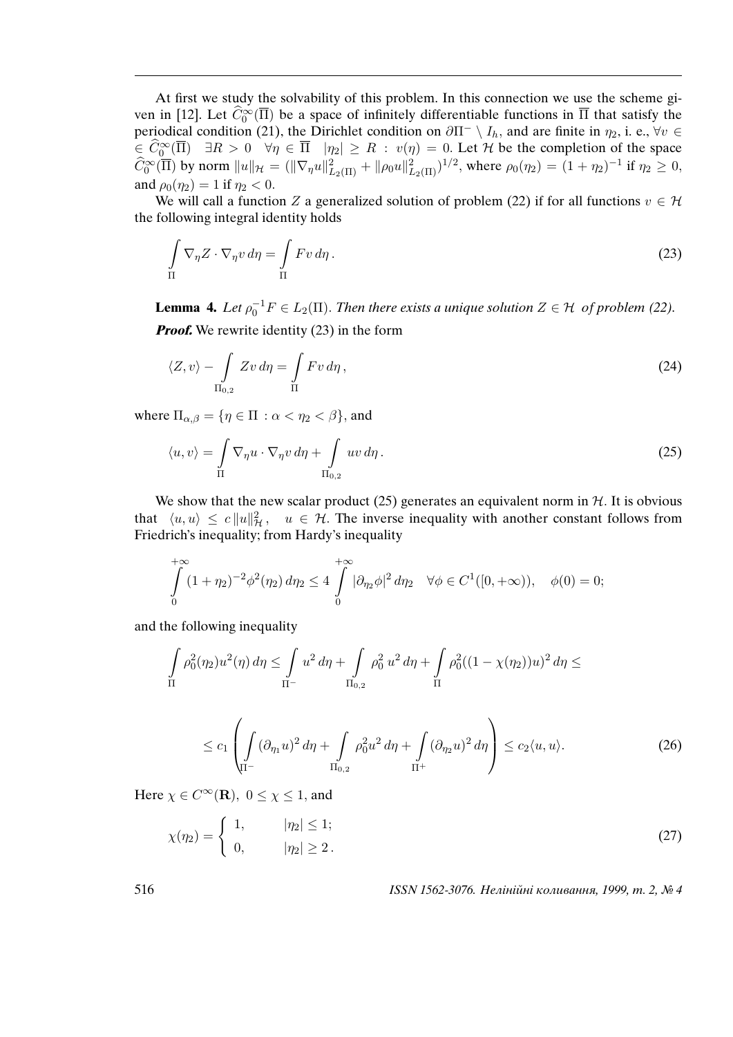At first we study the solvability of this problem. In this connection we use the scheme given in [12]. Let  $\widehat{C}_0^{\infty}(\overline{\Pi})$  be a space of infinitely differentiable functions in  $\overline{\Pi}$  that satisfy the periodical condition (21), the Dirichlet condition on  $\partial \Pi^- \setminus I_h$ , and are finite in  $\eta_2$ , i. e.,  $\forall v \in$  $\overline{\hat{C}} \subset \widehat{C}_0^{\infty}(\overline{\Pi})$   $\exists R > 0 \quad \forall \eta \in \overline{\Pi}$   $|\eta_2| \ge R$  :  $v(\eta) = 0$ . Let H be the completion of the space  $\widehat{C}_0^{\infty}(\overline{\Pi})$  by norm  $||u||_{\mathcal{H}} = (||\nabla_{\eta}u||^2_{L_2(\Pi)} + ||\rho_0u||^2_{L_2(\Pi)})^{1/2}$ , where  $\rho_0(\eta_2) = (1 + \eta_2)^{-1}$  if  $\eta_2 \ge 0$ , and  $\rho_0(\eta_2) = 1$  if  $\eta_2 < 0$ .

We will call a function Z a generalized solution of problem (22) if for all functions  $v \in \mathcal{H}$ the following integral identity holds

$$
\int_{\Pi} \nabla_{\eta} Z \cdot \nabla_{\eta} v \, d\eta = \int_{\Pi} F v \, d\eta \,. \tag{23}
$$

**Lemma 4.** Let  $\rho_0^{-1}F \in L_2(\Pi)$ . Then there exists a unique solution  $Z \in \mathcal{H}$  of problem (22). *Proof.* We rewrite identity (23) in the form

$$
\langle Z, v \rangle - \int_{\Pi_{0,2}} Zv \, d\eta = \int_{\Pi} Fv \, d\eta \,, \tag{24}
$$

where  $\Pi_{\alpha,\beta} = \{\eta \in \Pi : \alpha < \eta_2 < \beta\}$ , and

$$
\langle u, v \rangle = \int_{\Pi} \nabla_{\eta} u \cdot \nabla_{\eta} v \, d\eta + \int_{\Pi_{0,2}} uv \, d\eta. \tag{25}
$$

We show that the new scalar product (25) generates an equivalent norm in  $H$ . It is obvious that  $\langle u, u \rangle \leq c ||u||^2_{\mathcal{H}}, \quad u \in \mathcal{H}$ . The inverse inequality with another constant follows from Friedrich's inequality; from Hardy's inequality

$$
\int_{0}^{+\infty} (1 + \eta_2)^{-2} \phi^2(\eta_2) d\eta_2 \le 4 \int_{0}^{+\infty} |\partial_{\eta_2} \phi|^2 d\eta_2 \quad \forall \phi \in C^1([0, +\infty)), \quad \phi(0) = 0;
$$

and the following inequality

$$
\int_{\Pi} \rho_0^2(\eta_2) u^2(\eta) d\eta \le \int_{\Pi^-} u^2 d\eta + \int_{\Pi_{0,2}} \rho_0^2 u^2 d\eta + \int_{\Pi} \rho_0^2 ((1 - \chi(\eta_2))u)^2 d\eta \le
$$

$$
\leq c_1 \left( \int\limits_{\Pi^-} (\partial_{\eta_1} u)^2 d\eta + \int\limits_{\Pi_{0,2}} \rho_0^2 u^2 d\eta + \int\limits_{\Pi^+} (\partial_{\eta_2} u)^2 d\eta \right) \leq c_2 \langle u, u \rangle. \tag{26}
$$

Here  $\chi \in C^{\infty}(\mathbf{R})$ ,  $0 \leq \chi \leq 1$ , and

$$
\chi(\eta_2) = \begin{cases} 1, & |\eta_2| \le 1; \\ 0, & |\eta_2| \ge 2. \end{cases}
$$
 (27)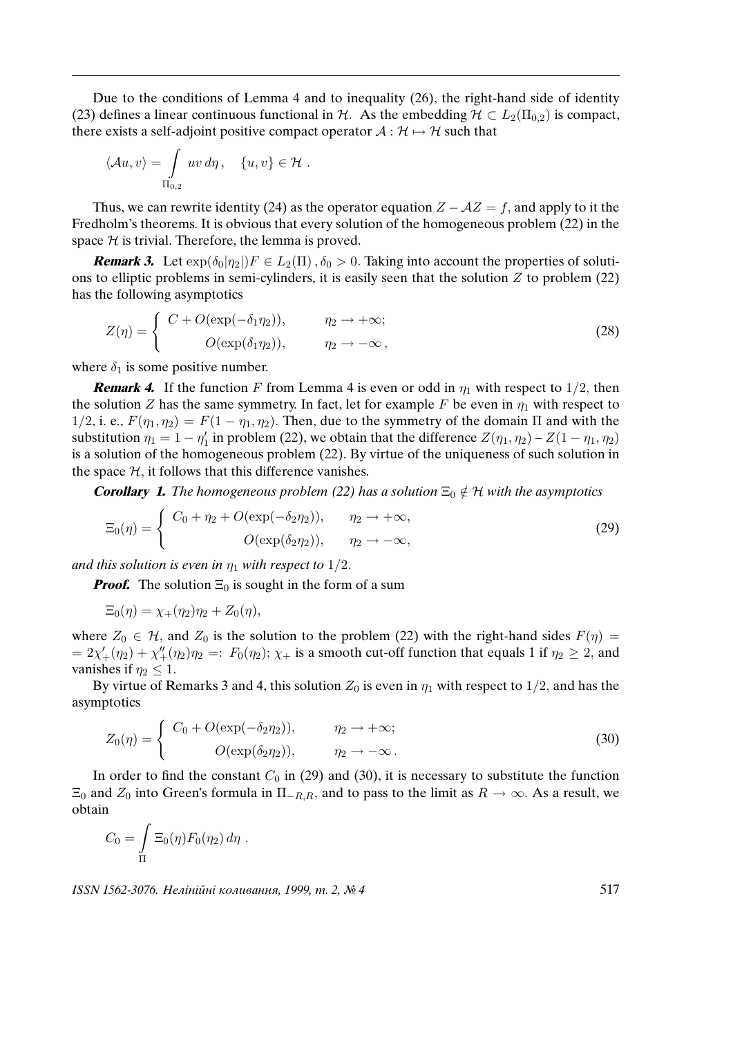Due to the conditions of Lemma 4 and to inequality (26), the right-hand side of identity (23) defines a linear continuous functional in H. As the embedding  $H \subset L_2(\Pi_{0,2})$  is compact, there exists a self-adjoint positive compact operator  $A : \mathcal{H} \mapsto \mathcal{H}$  such that

$$
\langle \mathcal{A}u, v \rangle = \int_{\Pi_{0,2}} uv \, d\eta \, , \quad \{u, v\} \in \mathcal{H} \, .
$$

Thus, we can rewrite identity (24) as the operator equation  $Z - \mathcal{A}Z = f$ , and apply to it the Fredholm's theorems. It is obvious that every solution of the homogeneous problem (22) in the space  $H$  is trivial. Therefore, the lemma is proved.

**Remark 3.** Let  $\exp(\delta_0|\eta_2|)F \in L_2(\Pi)$ ,  $\delta_0 > 0$ . Taking into account the properties of solutions to elliptic problems in semi-cylinders, it is easily seen that the solution  $Z$  to problem (22) has the following asymptotics

$$
Z(\eta) = \begin{cases} C + O(\exp(-\delta_1 \eta_2)), & \eta_2 \to +\infty; \\ O(\exp(\delta_1 \eta_2)), & \eta_2 \to -\infty, \end{cases}
$$
 (28)

where  $\delta_1$  is some positive number.

**Remark 4.** If the function F from Lemma 4 is even or odd in  $\eta_1$  with respect to  $1/2$ , then the solution Z has the same symmetry. In fact, let for example F be even in  $\eta_1$  with respect to 1/2, i. e.,  $F(\eta_1, \eta_2) = F(1 - \eta_1, \eta_2)$ . Then, due to the symmetry of the domain  $\Pi$  and with the substitution  $\eta_1 = 1 - \eta_1$  $\frac{1}{1}$  in problem (22), we obtain that the difference  $Z(\eta_1, \eta_2) - Z(1 - \eta_1, \eta_2)$ is a solution of the homogeneous problem (22). By virtue of the uniqueness of such solution in the space  $H$ , it follows that this difference vanishes.

**Corollary 1.** The homogeneous problem (22) has a solution  $\Xi_0 \notin \mathcal{H}$  with the asymptotics

$$
\Xi_0(\eta) = \begin{cases}\nC_0 + \eta_2 + O(\exp(-\delta_2 \eta_2)), & \eta_2 \to +\infty, \\
O(\exp(\delta_2 \eta_2)), & \eta_2 \to -\infty,\n\end{cases}
$$
\n(29)

and this solution is even in  $\eta_1$  with respect to  $1/2$ .

*Proof.* The solution  $\Xi_0$  is sought in the form of a sum

$$
\Xi_0(\eta) = \chi_+(\eta_2)\eta_2 + Z_0(\eta),
$$

where  $Z_0 \in \mathcal{H}$ , and  $Z_0$  is the solution to the problem (22) with the right-hand sides  $F(\eta) =$  $= 2\chi'_+(\eta_2) + \chi''_+(\eta_2)\eta_2 =: F_0(\eta_2); \chi_+$  is a smooth cut-off function that equals 1 if  $\eta_2 \geq 2$ , and vanishes if  $\eta_2 \leq 1$ .

By virtue of Remarks 3 and 4, this solution  $Z_0$  is even in  $\eta_1$  with respect to 1/2, and has the asymptotics

$$
Z_0(\eta) = \begin{cases} C_0 + O(\exp(-\delta_2 \eta_2)), & \eta_2 \to +\infty; \\ O(\exp(\delta_2 \eta_2)), & \eta_2 \to -\infty. \end{cases}
$$
 (30)

In order to find the constant  $C_0$  in (29) and (30), it is necessary to substitute the function  $\Xi_0$  and  $Z_0$  into Green's formula in  $\Pi_{-R,R}$ , and to pass to the limit as  $R \to \infty$ . As a result, we obtain

$$
C_0 = \int_{\Pi} \Xi_0(\eta) F_0(\eta_2) d\eta .
$$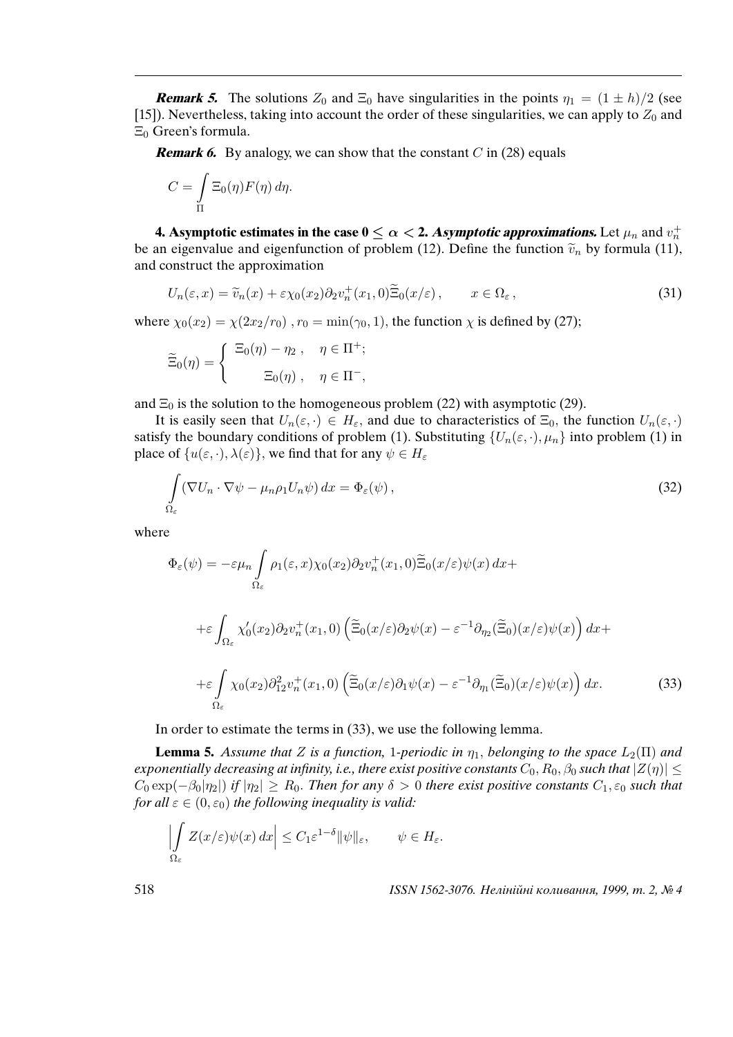**Remark 5.** The solutions  $Z_0$  and  $\Xi_0$  have singularities in the points  $\eta_1 = (1 \pm h)/2$  (see [15]). Nevertheless, taking into account the order of these singularities, we can apply to  $Z_0$  and  $\Xi_0$  Green's formula.

**Remark 6.** By analogy, we can show that the constant  $C$  in (28) equals

$$
C = \int_{\Pi} \Xi_0(\eta) F(\eta) d\eta.
$$

**4. Asymptotic estimates in the case**  $0 \leq \alpha <$  **2. Asymptotic approximations.** Let  $\mu_n$  and  $v_n^+$ be an eigenvalue and eigenfunction of problem (12). Define the function  $\tilde{v}_n$  by formula (11), and construct the approximation

$$
U_n(\varepsilon, x) = \widetilde{v}_n(x) + \varepsilon \chi_0(x_2) \partial_2 v_n^+(x_1, 0) \widetilde{\Xi}_0(x/\varepsilon), \qquad x \in \Omega_{\varepsilon}, \tag{31}
$$

where  $\chi_0(x_2) = \chi(2x_2/r_0)$ ,  $r_0 = \min(\gamma_0, 1)$ , the function  $\chi$  is defined by (27);

$$
\widetilde{\Xi}_0(\eta) = \begin{cases} \ \Xi_0(\eta) - \eta_2 \ , & \eta \in \Pi^+; \\ \ \Xi_0(\eta) \ , & \eta \in \Pi^-, \end{cases}
$$

and  $\Xi_0$  is the solution to the homogeneous problem (22) with asymptotic (29).

It is easily seen that  $U_n(\varepsilon, \cdot) \in H_\varepsilon$ , and due to characteristics of  $\Xi_0$ , the function  $U_n(\varepsilon, \cdot)$ satisfy the boundary conditions of problem (1). Substituting  $\{U_n(\varepsilon, \cdot), \mu_n\}$  into problem (1) in place of  $\{u(\varepsilon, \cdot), \lambda(\varepsilon)\}\)$ , we find that for any  $\psi \in H_{\varepsilon}$ 

$$
\int_{\Omega_{\varepsilon}} (\nabla U_n \cdot \nabla \psi - \mu_n \rho_1 U_n \psi) dx = \Phi_{\varepsilon}(\psi),
$$
\n(32)

where

$$
\Phi_{\varepsilon}(\psi) = -\varepsilon \mu_n \int_{\Omega_{\varepsilon}} \rho_1(\varepsilon, x) \chi_0(x_2) \partial_2 v_n^+(x_1, 0) \widetilde{\Xi}_0(x/\varepsilon) \psi(x) dx +
$$
  
\n
$$
+ \varepsilon \int_{\Omega_{\varepsilon}} \chi'_0(x_2) \partial_2 v_n^+(x_1, 0) \left( \widetilde{\Xi}_0(x/\varepsilon) \partial_2 \psi(x) - \varepsilon^{-1} \partial_{\eta_2} (\widetilde{\Xi}_0)(x/\varepsilon) \psi(x) \right) dx +
$$
  
\n
$$
+ \varepsilon \int_{\Omega_{\varepsilon}} \chi_0(x_2) \partial_{12}^2 v_n^+(x_1, 0) \left( \widetilde{\Xi}_0(x/\varepsilon) \partial_1 \psi(x) - \varepsilon^{-1} \partial_{\eta_1} (\widetilde{\Xi}_0)(x/\varepsilon) \psi(x) \right) dx.
$$
 (33)

In order to estimate the terms in (33), we use the following lemma.

**Lemma 5.** Assume that Z is a function, 1-periodic in  $\eta_1$ , belonging to the space  $L_2(\Pi)$  and exponentially decreasing at infinity, i.e., there exist positive constants  $C_0$ ,  $R_0$ ,  $\beta_0$  such that  $|Z(\eta)| \leq$  $C_0 \exp(-\beta_0|\eta_2|)$  if  $|\eta_2| \ge R_0$ . Then for any  $\delta > 0$  there exist positive constants  $C_1, \varepsilon_0$  such that for all  $\varepsilon \in (0, \varepsilon_0)$  the following inequality is valid:

$$
\left| \int\limits_{\Omega_{\varepsilon}} Z(x/\varepsilon) \psi(x) \, dx \right| \leq C_1 \varepsilon^{1-\delta} \| \psi \|_{\varepsilon}, \qquad \psi \in H_{\varepsilon}.
$$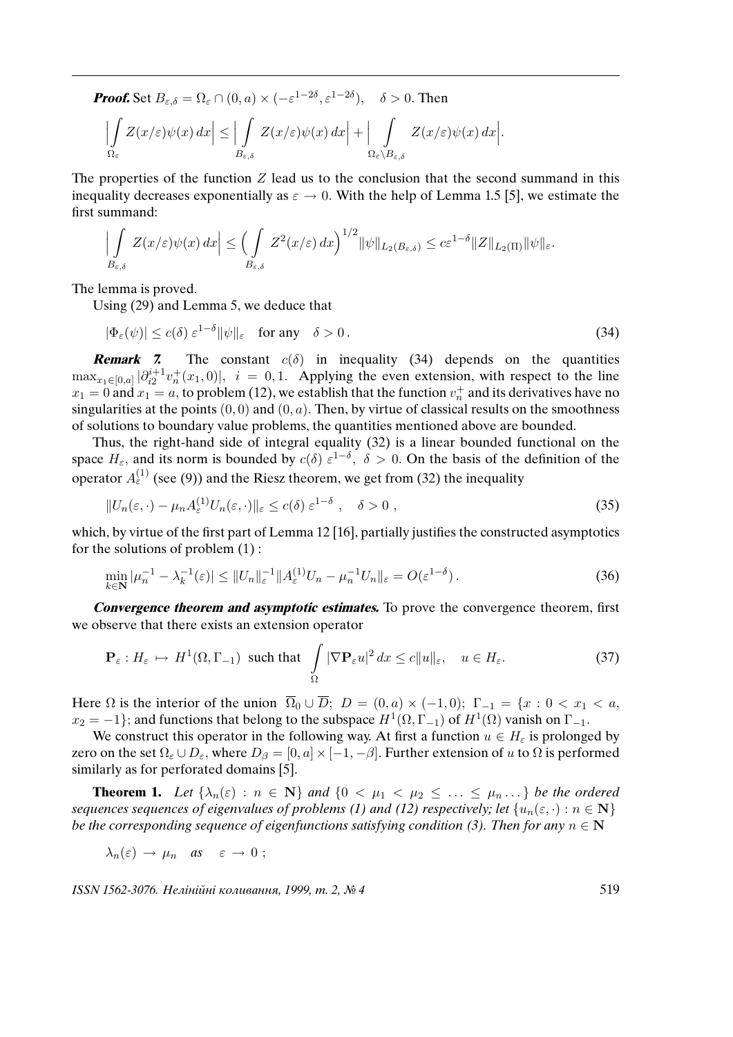**Proof.** Set  $B_{\varepsilon,\delta} = \Omega_{\varepsilon} \cap (0, a) \times (-\varepsilon^{1-2\delta}, \varepsilon^{1-2\delta}), \quad \delta > 0$ . Then

$$
\left|\int\limits_{\Omega_{\varepsilon}} Z(x/\varepsilon)\psi(x)\,dx\right| \leq \left|\int\limits_{B_{\varepsilon,\delta}} Z(x/\varepsilon)\psi(x)\,dx\right| + \left|\int\limits_{\Omega_{\varepsilon}\setminus B_{\varepsilon,\delta}} Z(x/\varepsilon)\psi(x)\,dx\right|.
$$

The properties of the function  $Z$  lead us to the conclusion that the second summand in this inequality decreases exponentially as  $\varepsilon \to 0$ . With the help of Lemma 1.5 [5], we estimate the first summand:

$$
\left|\int\limits_{B_{\varepsilon,\delta}} Z(x/\varepsilon)\psi(x)\,dx\right| \leq \left(\int\limits_{B_{\varepsilon,\delta}} Z^2(x/\varepsilon)\,dx\right)^{1/2} \|\psi\|_{L_2(B_{\varepsilon,\delta})} \leq c\varepsilon^{1-\delta} \|Z\|_{L_2(\Pi)} \|\psi\|_{\varepsilon}.
$$

The lemma is proved.

Using (29) and Lemma 5, we deduce that

 $|\Phi_{\varepsilon}(\psi)| \le c(\delta) \varepsilon^{1-\delta} ||\psi||_{\varepsilon} \quad \text{for any} \quad \delta > 0.$  (34)

**Remark 7.** The constant  $c(\delta)$  in inequality (34) depends on the quantities  $\max_{x_1 \in [0,a]} |\partial_{i2}^{i+1} v_n^+(x_1,0)|$ ,  $i = 0,1$ . Applying the even extension, with respect to the line  $x_1 = 0$  and  $x_1 = a$ , to problem (12), we establish that the function  $v_n^+$  and its derivatives have no singularities at the points  $(0, 0)$  and  $(0, a)$ . Then, by virtue of classical results on the smoothness of solutions to boundary value problems, the quantities mentioned above are bounded.

Thus, the right-hand side of integral equality (32) is a linear bounded functional on the space  $H_{\varepsilon}$ , and its norm is bounded by  $c(\delta) \varepsilon^{1-\delta}$ ,  $\delta > 0$ . On the basis of the definition of the operator  $A_{\varepsilon}^{(1)}$  (see (9)) and the Riesz theorem, we get from (32) the inequality

$$
||U_n(\varepsilon, \cdot) - \mu_n A_\varepsilon^{(1)} U_n(\varepsilon, \cdot)||_{\varepsilon} \le c(\delta) \varepsilon^{1-\delta} , \quad \delta > 0 ,
$$
\n(35)

which, by virtue of the first part of Lemma 12 [16], partially justifies the constructed asymptotics for the solutions of problem (1) :

$$
\min_{k \in \mathbf{N}} |\mu_n^{-1} - \lambda_k^{-1}(\varepsilon)| \le ||U_n||_{\varepsilon}^{-1} ||A_{\varepsilon}^{(1)} U_n - \mu_n^{-1} U_n||_{\varepsilon} = O(\varepsilon^{1-\delta}). \tag{36}
$$

**Convergence theorem and asymptotic estimates.** To prove the convergence theorem, first we observe that there exists an extension operator

$$
\mathbf{P}_{\varepsilon}: H_{\varepsilon} \mapsto H^{1}(\Omega, \Gamma_{-1}) \text{ such that } \int_{\Omega} |\nabla \mathbf{P}_{\varepsilon} u|^{2} dx \le c \|u\|_{\varepsilon}, \quad u \in H_{\varepsilon}. \tag{37}
$$

Here  $\Omega$  is the interior of the union  $\overline{\Omega}_0 \cup \overline{D}$ ;  $D = (0, a) \times (-1, 0)$ ;  $\Gamma_{-1} = \{x : 0 < x_1 < a,$  $x_2 = -1$ }; and functions that belong to the subspace  $H^1(\Omega, \Gamma_{-1})$  of  $H^1(\Omega)$  vanish on  $\Gamma_{-1}$ .

We construct this operator in the following way. At first a function  $u \in H_{\varepsilon}$  is prolonged by zero on the set  $\Omega_{\varepsilon} \cup D_{\varepsilon}$ , where  $D_{\beta} = [0, a] \times [-1, -\beta]$ . Further extension of u to  $\Omega$  is performed similarly as for perforated domains [5].

**Theorem 1.** Let  $\{\lambda_n(\varepsilon) : n \in \mathbb{N}\}\$  and  $\{0 \leq \mu_1 \leq \mu_2 \leq \ldots \leq \mu_n \ldots\}$  be the ordered sequences sequences of eigenvalues of problems (1) and (12) respectively; let  $\{u_n(\varepsilon, \cdot): n \in \mathbb{N}\}\$ be the corresponding sequence of eigenfunctions satisfying condition (3). Then for any  $n \in \mathbb{N}$ 

$$
\lambda_n(\varepsilon) \to \mu_n \quad \text{as} \quad \varepsilon \to 0 \; ;
$$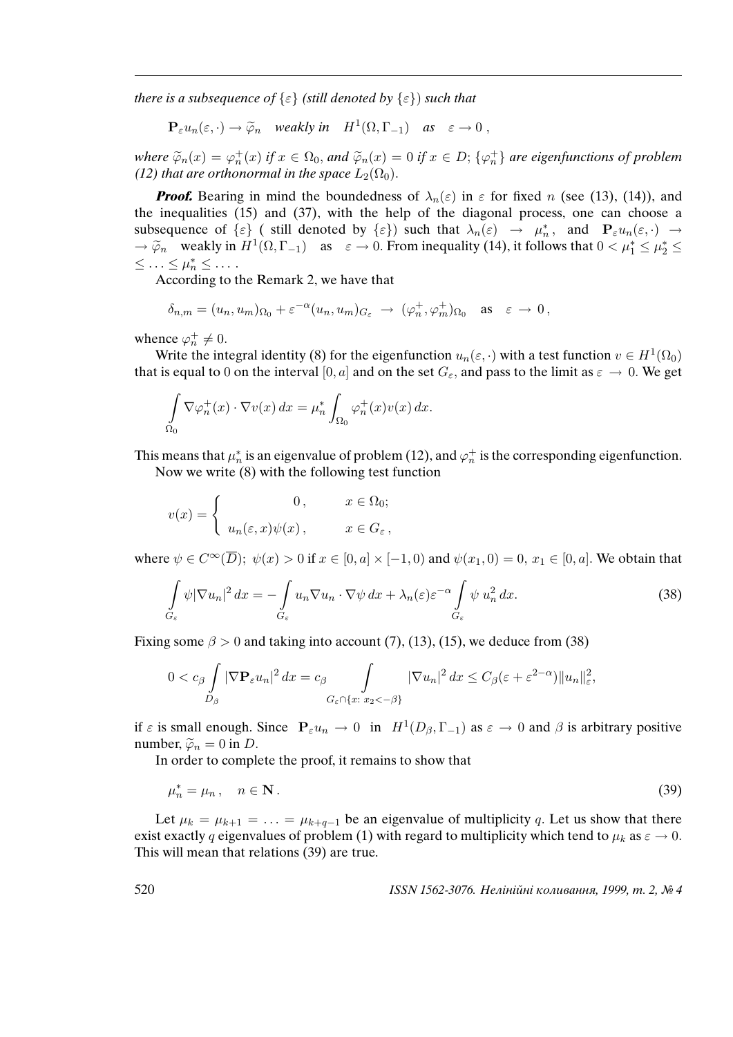there is a subsequence of  $\{\varepsilon\}$  (still denoted by  $\{\varepsilon\}$ ) such that

$$
\mathbf{P}_{\varepsilon} u_n(\varepsilon,\cdot) \to \widetilde{\varphi}_n \quad weakly \text{ in } H^1(\Omega,\Gamma_{-1}) \quad \text{as } \quad \varepsilon \to 0 ,
$$

where  $\widetilde{\varphi}_n(x) = \varphi_n^+(x)$  if  $x \in \Omega_0$ , and  $\widetilde{\varphi}_n(x) = 0$  if  $x \in D$ ;  $\{\varphi_n^+\}$  are eigenfunctions of problem (12) that are orthonormal in the space  $L_2(\Omega_0)$ (12) that are orthonormal in the space  $L_2(\Omega_0)$ .

**Proof.** Bearing in mind the boundedness of  $\lambda_n(\varepsilon)$  in  $\varepsilon$  for fixed n (see (13), (14)), and the inequalities (15) and (37), with the help of the diagonal process, one can choose a subsequence of  $\{\varepsilon\}$  ( still denoted by  $\{\varepsilon\}$ ) such that  $\lambda_n(\varepsilon) \to \mu_n^*$  $n_n^*$ , and  $\mathbf{P}_{\varepsilon} u_n(\varepsilon, \cdot) \rightarrow$  $\Rightarrow \tilde{\varphi}_n$  weakly in  $H^1(\Omega, \Gamma_{-1})$  as  $\varepsilon \to 0$ . From inequality (14), it follows that  $0 < \mu_1^* \le \mu_2^* \le$  $\leq \ldots \leq \mu_n^* \leq \ldots$ 

According to the Remark 2, we have that

$$
\delta_{n,m}=(u_n,u_m)_{\Omega_0}+\varepsilon^{-\alpha}(u_n,u_m)_{G_{\varepsilon}}\ \to\ (\varphi_n^+,\varphi_m^+)_{\Omega_0}\quad\text{as}\quad \varepsilon\ \to\ 0\,,
$$

whence  $\varphi_n^+ \neq 0$ .

Write the integral identity (8) for the eigenfunction  $u_n(\varepsilon, \cdot)$  with a test function  $v \in H^1(\Omega_0)$ that is equal to 0 on the interval [0, a] and on the set  $G_{\varepsilon}$ , and pass to the limit as  $\varepsilon \to 0$ . We get

$$
\int_{\Omega_0} \nabla \varphi_n^+(x) \cdot \nabla v(x) \, dx = \mu_n^* \int_{\Omega_0} \varphi_n^+(x) v(x) \, dx.
$$

This means that  $\mu_n^*$  $_n^*$  is an eigenvalue of problem (12), and  $\varphi_n^+$  is the corresponding eigenfunction. Now we write (8) with the following test function

$$
v(x) = \begin{cases} 0, & x \in \Omega_0; \\ u_n(\varepsilon, x)\psi(x), & x \in G_\varepsilon, \end{cases}
$$

where  $\psi \in C^{\infty}(\overline{D})$ ;  $\psi(x) > 0$  if  $x \in [0, a] \times [-1, 0)$  and  $\psi(x_1, 0) = 0$ ,  $x_1 \in [0, a]$ . We obtain that

$$
\int_{G_{\varepsilon}} \psi |\nabla u_n|^2 \, dx = -\int_{G_{\varepsilon}} u_n \nabla u_n \cdot \nabla \psi \, dx + \lambda_n(\varepsilon) \varepsilon^{-\alpha} \int_{G_{\varepsilon}} \psi u_n^2 \, dx. \tag{38}
$$

Fixing some  $\beta > 0$  and taking into account (7), (13), (15), we deduce from (38)

$$
0 < c_{\beta} \int\limits_{D_{\beta}} |\nabla \mathbf{P}_{\varepsilon} u_n|^2 dx = c_{\beta} \int\limits_{G_{\varepsilon} \cap \{x: \ x_2 < -\beta\}} |\nabla u_n|^2 dx \leq C_{\beta} (\varepsilon + \varepsilon^{2-\alpha}) \|u_n\|_{\varepsilon}^2,
$$

if  $\varepsilon$  is small enough. Since  $P_{\varepsilon} u_n \to 0$  in  $H^1(D_\beta, \Gamma_{-1})$  as  $\varepsilon \to 0$  and  $\beta$  is arbitrary positive number,  $\widetilde{\varphi}_n = 0$  in *D*.

In order to complete the proof, it remains to show that

$$
\mu_n^* = \mu_n, \quad n \in \mathbf{N} \,. \tag{39}
$$

Let  $\mu_k = \mu_{k+1} = \ldots = \mu_{k+q-1}$  be an eigenvalue of multiplicity q. Let us show that there exist exactly q eigenvalues of problem (1) with regard to multiplicity which tend to  $\mu_k$  as  $\varepsilon \to 0$ . This will mean that relations (39) are true.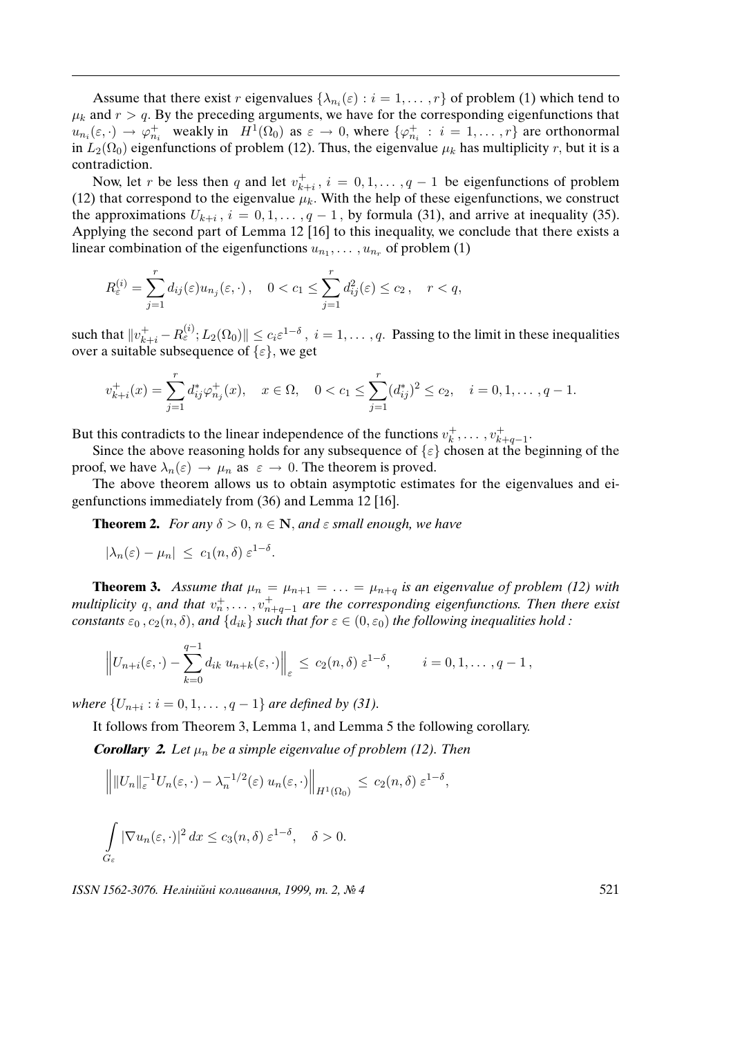Assume that there exist r eigenvalues  $\{\lambda_{n_i}(\varepsilon) : i = 1, \dots, r\}$  of problem (1) which tend to  $\mu_k$  and  $r > q$ . By the preceding arguments, we have for the corresponding eigenfunctions that  $u_{n_i}(\varepsilon, \cdot) \to \varphi_{n_i}^+$  weakly in  $H^1(\Omega_0)$  as  $\varepsilon \to 0$ , where  $\{\varphi_{n_i}^+ : i = 1, ..., r\}$  are orthonormal in  $L_2(\Omega_0)$  eigenfunctions of problem (12). Thus, the eigenvalue  $\mu_k$  has multiplicity r, but it is a contradiction.

Now, let r be less then q and let  $v_{k}^+$  $k_{i}^{+}$ ,  $i = 0, 1, \dots, q - 1$  be eigenfunctions of problem (12) that correspond to the eigenvalue  $\mu_k$ . With the help of these eigenfunctions, we construct the approximations  $U_{k+i}$ ,  $i = 0, 1, ..., q - 1$ , by formula (31), and arrive at inequality (35). Applying the second part of Lemma 12 [16] to this inequality, we conclude that there exists a linear combination of the eigenfunctions  $u_{n_1}, \ldots, u_{n_r}$  of problem (1)

$$
R_{\varepsilon}^{(i)} = \sum_{j=1}^r d_{ij}(\varepsilon) u_{n_j}(\varepsilon, \cdot), \quad 0 < c_1 \le \sum_{j=1}^r d_{ij}^2(\varepsilon) \le c_2, \quad r < q,
$$

such that  $||v_{k+i}^+ - R_{\varepsilon}^{(i)}$ ;  $L_2(\Omega_0)|| \le c_i \varepsilon^{1-\delta}$ ,  $i = 1, \ldots, q$ . Passing to the limit in these inequalities over a suitable subsequence of  $\{\varepsilon\}$ , we get

$$
v_{k+i}^+(x) = \sum_{j=1}^r d_{ij}^* \varphi_{n_j}^+(x), \quad x \in \Omega, \quad 0 < c_1 \le \sum_{j=1}^r (d_{ij}^*)^2 \le c_2, \quad i = 0, 1, \dots, q-1.
$$

But this contradicts to the linear independence of the functions  $v_k^+$  $v_k^+, \ldots, v_{k+q-1}^+$ .

Since the above reasoning holds for any subsequence of  $\{\varepsilon\}$  chosen at the beginning of the proof, we have  $\lambda_n(\varepsilon) \to \mu_n$  as  $\varepsilon \to 0$ . The theorem is proved.

The above theorem allows us to obtain asymptotic estimates for the eigenvalues and eigenfunctions immediately from (36) and Lemma 12 [16].

**Theorem 2.** For any  $\delta > 0$ ,  $n \in \mathbb{N}$ , and  $\varepsilon$  small enough, we have

.

$$
|\lambda_n(\varepsilon) - \mu_n| \leq c_1(n,\delta) \varepsilon^{1-\delta}
$$

**Theorem 3.** Assume that  $\mu_n = \mu_{n+1} = \ldots = \mu_{n+q}$  is an eigenvalue of problem (12) with multiplicity q, and that  $v_n^+,\ldots,v_{n+q-1}^+$  are the corresponding eigenfunctions. Then there exist constants  $\varepsilon_0$ ,  $c_2(n, \delta)$ , and  $\{d_{ik}\}\$  such that for  $\varepsilon \in (0, \varepsilon_0)$  the following inequalities hold :

$$
\left\|U_{n+i}(\varepsilon,\cdot)-\sum_{k=0}^{q-1}d_{ik} u_{n+k}(\varepsilon,\cdot)\right\|_{\varepsilon} \leq c_2(n,\delta)\,\varepsilon^{1-\delta}, \qquad i=0,1,\ldots,q-1,
$$

where  $\{U_{n+i} : i = 0, 1, \ldots, q-1\}$  are defined by (31).

It follows from Theorem 3, Lemma 1, and Lemma 5 the following corollary.

**Corollary 2.** Let  $\mu_n$  be a simple eigenvalue of problem (12). Then

$$
\| ||U_n||_{\varepsilon}^{-1} U_n(\varepsilon, \cdot) - \lambda_n^{-1/2}(\varepsilon) u_n(\varepsilon, \cdot) \Big\|_{H^1(\Omega_0)} \le c_2(n, \delta) \varepsilon^{1-\delta},
$$
  

$$
\int_{G_{\varepsilon}} |\nabla u_n(\varepsilon, \cdot)|^2 dx \le c_3(n, \delta) \varepsilon^{1-\delta}, \quad \delta > 0.
$$